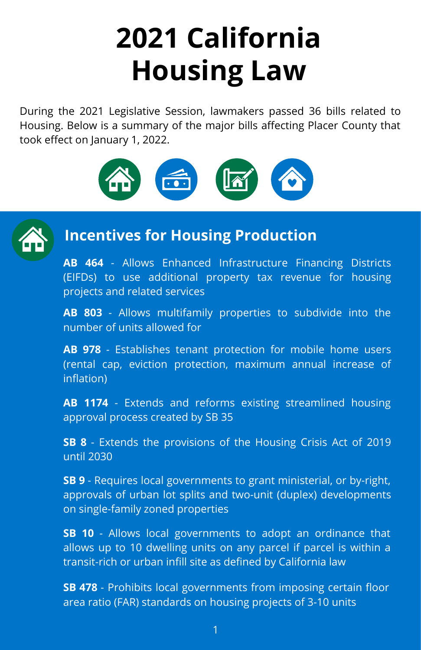# **2021 California Housing Law**

During the 2021 Legislative Session, lawmakers passed 36 bills related to Housing. Below is a summary of the major bills affecting Placer County that took effect on January 1, 2022.





### **Incentives for Housing Production**

**AB 464** - Allows Enhanced Infrastructure Financing Districts (EIFDs) to use additional property tax revenue for housing projects and related services

**AB 803** - Allows multifamily properties to subdivide into the number of units allowed for

**AB 978** - Establishes tenant protection for mobile home users (rental cap, eviction protection, maximum annual increase of inflation)

**AB 1174** - Extends and reforms existing streamlined housing approval process created by SB 35

**SB 8** - Extends the provisions of the Housing Crisis Act of 2019 until 2030

**SB 9** - Requires local governments to grant ministerial, or by-right, approvals of urban lot splits and two-unit (duplex) developments on single-family zoned properties

**SB 10** - Allows local governments to adopt an ordinance that allows up to 10 dwelling units on any parcel if parcel is within a transit-rich or urban infill site as defined by California law

**SB 478** - Prohibits local governments from imposing certain floor area ratio (FAR) standards on housing projects of 3-10 units